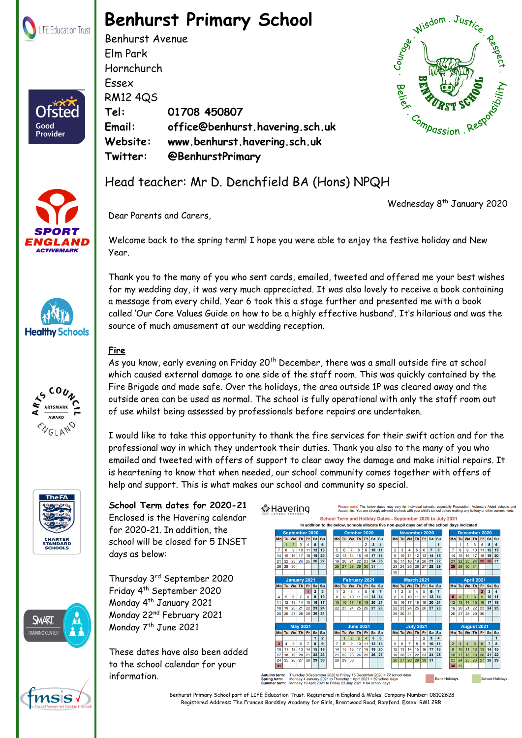

## **Benhurst Primary School**

Benhurst Avenue Elm Park Hornchurch Essex RM12 4QS **Tel: 01708 450807 Email: office@benhurst.havering.sch.uk Website: www.benhurst.havering.sch.uk Twitter: @BenhurstPrimary**



Wednesday 8<sup>th</sup> January 2020



Good Provider













# Head teacher: Mr D. Denchfield BA (Hons) NPQH

Dear Parents and Carers,

Welcome back to the spring term! I hope you were able to enjoy the festive holiday and New Year.

Thank you to the many of you who sent cards, emailed, tweeted and offered me your best wishes for my wedding day, it was very much appreciated. It was also lovely to receive a book containing a message from every child. Year 6 took this a stage further and presented me with a book called 'Our Core Values Guide on how to be a highly effective husband'. It's hilarious and was the source of much amusement at our wedding reception.

### **Fire**

As you know, early evening on Friday 20<sup>th</sup> December, there was a small outside fire at school which caused external damage to one side of the staff room. This was quickly contained by the Fire Brigade and made safe. Over the holidays, the area outside 1P was cleared away and the outside area can be used as normal. The school is fully operational with only the staff room out of use whilst being assessed by professionals before repairs are undertaken.

I would like to take this opportunity to thank the fire services for their swift action and for the professional way in which they undertook their duties. Thank you also to the many of you who emailed and tweeted with offers of support to clear away the damage and make initial repairs. It is heartening to know that when needed, our school community comes together with offers of help and support. This is what makes our school and community so special.

**School Term dates for 2020-21** Enclosed is the Havering calendar for 2020-21. In addition, the school will be closed for 5 INSET days as below:

Thursday 3rd September 2020 Friday 4 th September 2020 Monday 4<sup>th</sup> January 2021 Monday 22<sup>nd</sup> February 2021 Monday 7<sup>th</sup> June 2021

These dates have also been added to the school calendar for your information.







Benhurst Primary School part of LIFE Education Trust. Registered in England & Wales. Company Number: 08102628<br>Benittered Address: The Engres Bandeley Accdemy for Girls Brantwood Boad, Benthod Essay, BM1, 2DB Registered Address: The Frances Bardsley Academy for Girls, Brentwood Road, Romford. Essex. RM1 2RR